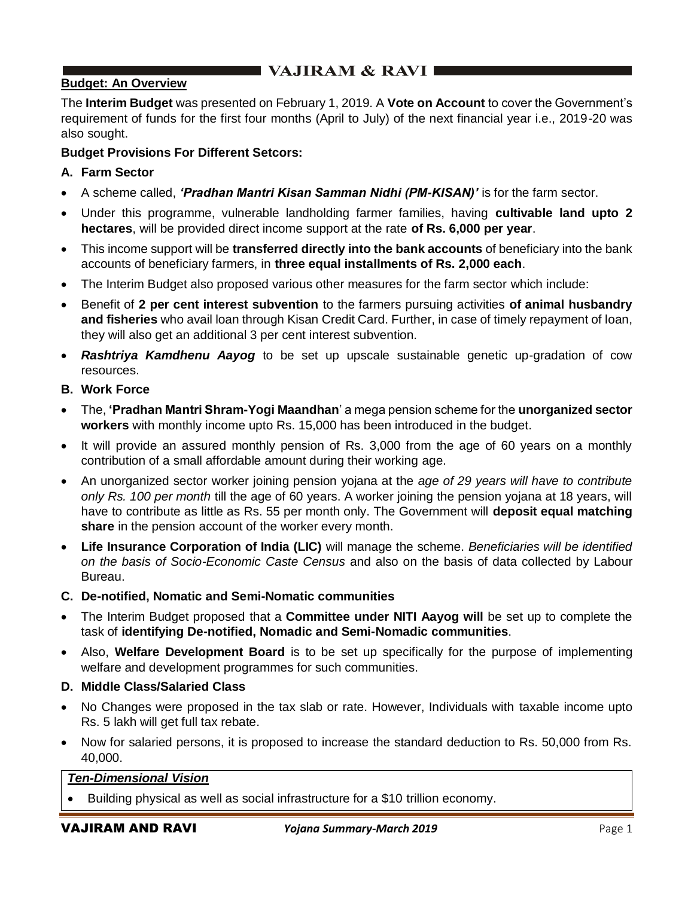# $\blacksquare$  VAJIRAM & RAVI $\blacksquare$

# **Budget: An Overview**

The **Interim Budget** was presented on February 1, 2019. A **Vote on Account** to cover the Government's requirement of funds for the first four months (April to July) of the next financial year i.e., 2019-20 was also sought.

### **Budget Provisions For Different Setcors:**

#### **A. Farm Sector**

- A scheme called, *'Pradhan Mantri Kisan Samman Nidhi (PM-KISAN)'* is for the farm sector.
- Under this programme, vulnerable landholding farmer families, having **cultivable land upto 2 hectares**, will be provided direct income support at the rate **of Rs. 6,000 per year**.
- This income support will be **transferred directly into the bank accounts** of beneficiary into the bank accounts of beneficiary farmers, in **three equal installments of Rs. 2,000 each**.
- The Interim Budget also proposed various other measures for the farm sector which include:
- Benefit of **2 per cent interest subvention** to the farmers pursuing activities **of animal husbandry and fisheries** who avail loan through Kisan Credit Card. Further, in case of timely repayment of loan, they will also get an additional 3 per cent interest subvention.
- *Rashtriya Kamdhenu Aayog* to be set up upscale sustainable genetic up-gradation of cow resources.
- **B. Work Force**
- The, **'Pradhan Mantri Shram-Yogi Maandhan**' a mega pension scheme for the **unorganized sector workers** with monthly income upto Rs. 15,000 has been introduced in the budget.
- It will provide an assured monthly pension of Rs. 3,000 from the age of 60 years on a monthly contribution of a small affordable amount during their working age.
- An unorganized sector worker joining pension yojana at the *age of 29 years will have to contribute only Rs. 100 per month* till the age of 60 years. A worker joining the pension yojana at 18 years, will have to contribute as little as Rs. 55 per month only. The Government will **deposit equal matching share** in the pension account of the worker every month.
- **Life Insurance Corporation of India (LIC)** will manage the scheme. *Beneficiaries will be identified on the basis of Socio-Economic Caste Census* and also on the basis of data collected by Labour Bureau.

#### **C. De-notified, Nomatic and Semi-Nomatic communities**

- The Interim Budget proposed that a **Committee under NITI Aayog will** be set up to complete the task of **identifying De-notified, Nomadic and Semi-Nomadic communities**.
- Also, **Welfare Development Board** is to be set up specifically for the purpose of implementing welfare and development programmes for such communities.

#### **D. Middle Class/Salaried Class**

- No Changes were proposed in the tax slab or rate. However, Individuals with taxable income upto Rs. 5 lakh will get full tax rebate.
- Now for salaried persons, it is proposed to increase the standard deduction to Rs. 50,000 from Rs. 40,000.

### *Ten-Dimensional Vision*

• Building physical as well as social infrastructure for a \$10 trillion economy.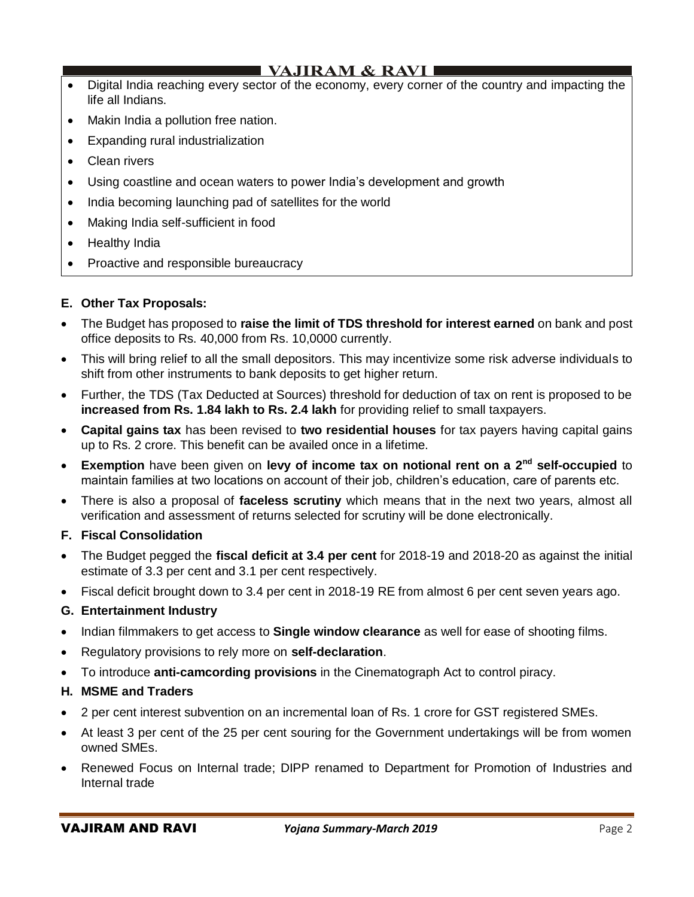# **VAJIRAM & RAVI**

- Digital India reaching every sector of the economy, every corner of the country and impacting the life all Indians.
- Makin India a pollution free nation.
- Expanding rural industrialization
- Clean rivers
- Using coastline and ocean waters to power India's development and growth
- India becoming launching pad of satellites for the world
- Making India self-sufficient in food
- Healthy India
- Proactive and responsible bureaucracy

# **E. Other Tax Proposals:**

- The Budget has proposed to **raise the limit of TDS threshold for interest earned** on bank and post office deposits to Rs. 40,000 from Rs. 10,0000 currently.
- This will bring relief to all the small depositors. This may incentivize some risk adverse individuals to shift from other instruments to bank deposits to get higher return.
- Further, the TDS (Tax Deducted at Sources) threshold for deduction of tax on rent is proposed to be **increased from Rs. 1.84 lakh to Rs. 2.4 lakh** for providing relief to small taxpayers.
- **Capital gains tax** has been revised to **two residential houses** for tax payers having capital gains up to Rs. 2 crore. This benefit can be availed once in a lifetime.
- **Exemption** have been given on **levy of income tax on notional rent on a 2nd self-occupied** to maintain families at two locations on account of their job, children's education, care of parents etc.
- There is also a proposal of **faceless scrutiny** which means that in the next two years, almost all verification and assessment of returns selected for scrutiny will be done electronically.

### **F. Fiscal Consolidation**

- The Budget pegged the **fiscal deficit at 3.4 per cent** for 2018-19 and 2018-20 as against the initial estimate of 3.3 per cent and 3.1 per cent respectively.
- Fiscal deficit brought down to 3.4 per cent in 2018-19 RE from almost 6 per cent seven years ago.

### **G. Entertainment Industry**

- Indian filmmakers to get access to **Single window clearance** as well for ease of shooting films.
- Regulatory provisions to rely more on **self-declaration**.
- To introduce **anti-camcording provisions** in the Cinematograph Act to control piracy.

### **H. MSME and Traders**

- 2 per cent interest subvention on an incremental loan of Rs. 1 crore for GST registered SMEs.
- At least 3 per cent of the 25 per cent souring for the Government undertakings will be from women owned SMEs.
- Renewed Focus on Internal trade; DIPP renamed to Department for Promotion of Industries and Internal trade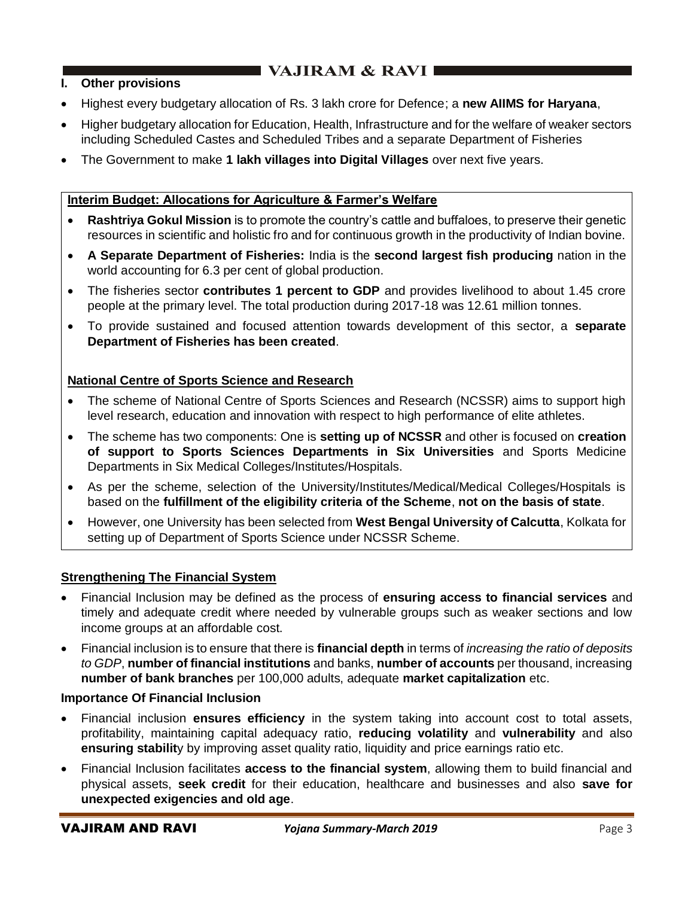# $\blacksquare$  VAJIRAM & RAVI

# **I. Other provisions**

- Highest every budgetary allocation of Rs. 3 lakh crore for Defence; a **new AIIMS for Haryana**,
- Higher budgetary allocation for Education, Health, Infrastructure and for the welfare of weaker sectors including Scheduled Castes and Scheduled Tribes and a separate Department of Fisheries
- The Government to make **1 lakh villages into Digital Villages** over next five years.

# **Interim Budget: Allocations for Agriculture & Farmer's Welfare**

- **Rashtriya Gokul Mission** is to promote the country's cattle and buffaloes, to preserve their genetic resources in scientific and holistic fro and for continuous growth in the productivity of Indian bovine.
- **A Separate Department of Fisheries:** India is the **second largest fish producing** nation in the world accounting for 6.3 per cent of global production.
- The fisheries sector **contributes 1 percent to GDP** and provides livelihood to about 1.45 crore people at the primary level. The total production during 2017-18 was 12.61 million tonnes.
- To provide sustained and focused attention towards development of this sector, a **separate Department of Fisheries has been created**.

# **National Centre of Sports Science and Research**

- The scheme of National Centre of Sports Sciences and Research (NCSSR) aims to support high level research, education and innovation with respect to high performance of elite athletes.
- The scheme has two components: One is **setting up of NCSSR** and other is focused on **creation of support to Sports Sciences Departments in Six Universities** and Sports Medicine Departments in Six Medical Colleges/Institutes/Hospitals.
- As per the scheme, selection of the University/Institutes/Medical/Medical Colleges/Hospitals is based on the **fulfillment of the eligibility criteria of the Scheme**, **not on the basis of state**.
- However, one University has been selected from **West Bengal University of Calcutta**, Kolkata for setting up of Department of Sports Science under NCSSR Scheme.

### **Strengthening The Financial System**

- Financial Inclusion may be defined as the process of **ensuring access to financial services** and timely and adequate credit where needed by vulnerable groups such as weaker sections and low income groups at an affordable cost.
- Financial inclusion is to ensure that there is **financial depth** in terms of *increasing the ratio of deposits to GDP*, **number of financial institutions** and banks, **number of accounts** per thousand, increasing **number of bank branches** per 100,000 adults, adequate **market capitalization** etc.

# **Importance Of Financial Inclusion**

- Financial inclusion **ensures efficiency** in the system taking into account cost to total assets, profitability, maintaining capital adequacy ratio, **reducing volatility** and **vulnerability** and also **ensuring stabilit**y by improving asset quality ratio, liquidity and price earnings ratio etc.
- Financial Inclusion facilitates **access to the financial system**, allowing them to build financial and physical assets, **seek credit** for their education, healthcare and businesses and also **save for unexpected exigencies and old age**.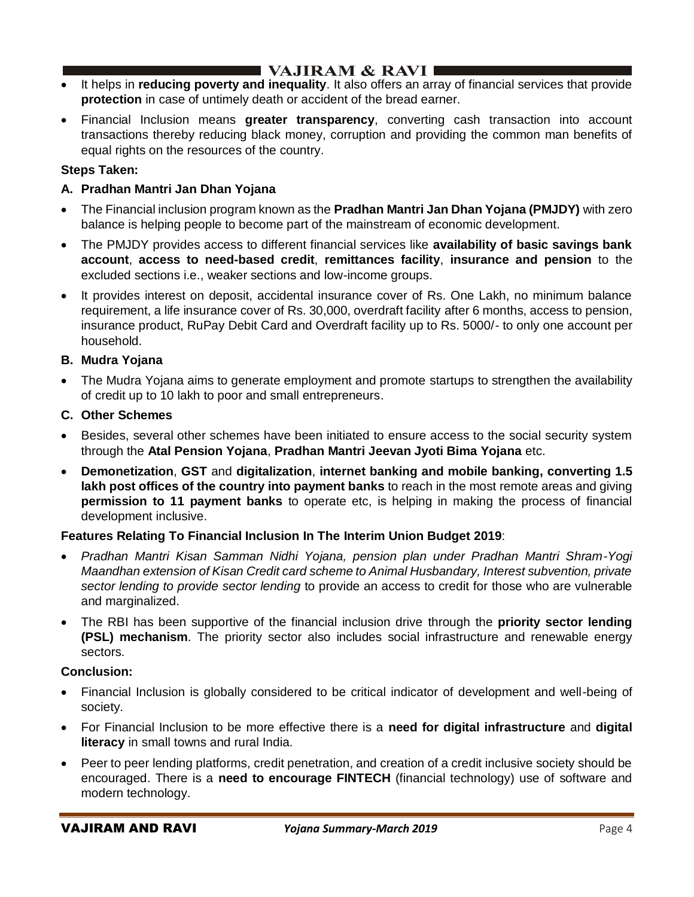# $\blacksquare$  VAJIRAM & RAVI  $\blacksquare$

- It helps in **reducing poverty and inequality**. It also offers an array of financial services that provide **protection** in case of untimely death or accident of the bread earner.
- Financial Inclusion means **greater transparency**, converting cash transaction into account transactions thereby reducing black money, corruption and providing the common man benefits of equal rights on the resources of the country.

# **Steps Taken:**

# **A. Pradhan Mantri Jan Dhan Yojana**

- The Financial inclusion program known as the **Pradhan Mantri Jan Dhan Yojana (PMJDY)** with zero balance is helping people to become part of the mainstream of economic development.
- The PMJDY provides access to different financial services like **availability of basic savings bank account**, **access to need-based credit**, **remittances facility**, **insurance and pension** to the excluded sections i.e., weaker sections and low-income groups.
- It provides interest on deposit, accidental insurance cover of Rs. One Lakh, no minimum balance requirement, a life insurance cover of Rs. 30,000, overdraft facility after 6 months, access to pension, insurance product, RuPay Debit Card and Overdraft facility up to Rs. 5000/- to only one account per household.

# **B. Mudra Yojana**

• The Mudra Yojana aims to generate employment and promote startups to strengthen the availability of credit up to 10 lakh to poor and small entrepreneurs.

# **C. Other Schemes**

- Besides, several other schemes have been initiated to ensure access to the social security system through the **Atal Pension Yojana**, **Pradhan Mantri Jeevan Jyoti Bima Yojana** etc.
- **Demonetization**, **GST** and **digitalization**, **internet banking and mobile banking, converting 1.5 lakh post offices of the country into payment banks** to reach in the most remote areas and giving **permission to 11 payment banks** to operate etc, is helping in making the process of financial development inclusive.

# **Features Relating To Financial Inclusion In The Interim Union Budget 2019**:

- *Pradhan Mantri Kisan Samman Nidhi Yojana, pension plan under Pradhan Mantri Shram-Yogi Maandhan extension of Kisan Credit card scheme to Animal Husbandary, Interest subvention, private sector lending to provide sector lending* to provide an access to credit for those who are vulnerable and marginalized.
- The RBI has been supportive of the financial inclusion drive through the **priority sector lending (PSL) mechanism**. The priority sector also includes social infrastructure and renewable energy sectors.

### **Conclusion:**

- Financial Inclusion is globally considered to be critical indicator of development and well-being of society.
- For Financial Inclusion to be more effective there is a **need for digital infrastructure** and **digital literacy** in small towns and rural India.
- Peer to peer lending platforms, credit penetration, and creation of a credit inclusive society should be encouraged. There is a **need to encourage FINTECH** (financial technology) use of software and modern technology.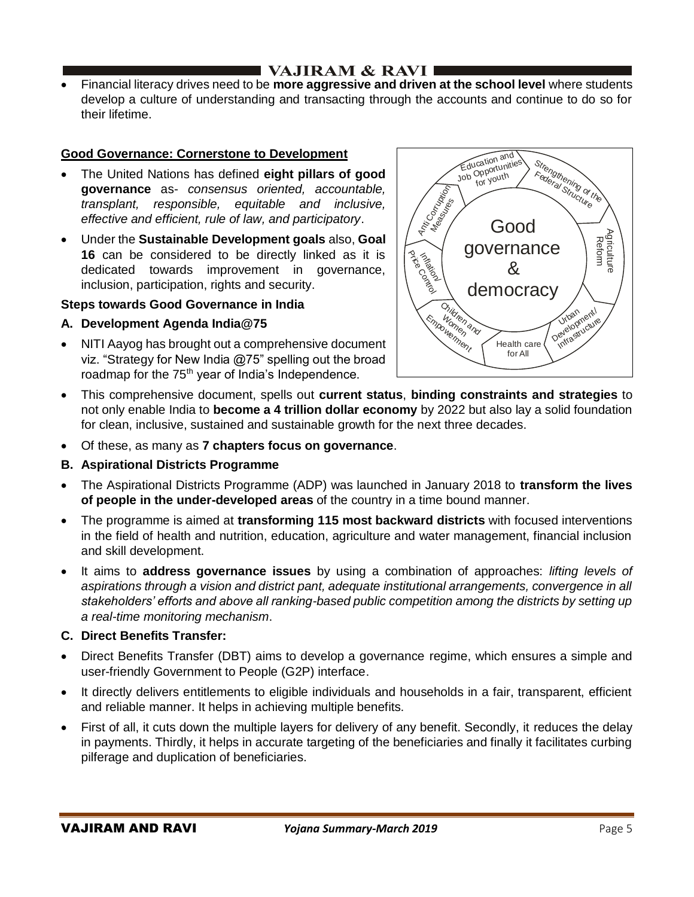• Financial literacy drives need to be **more aggressive and driven at the school level** where students develop a culture of understanding and transacting through the accounts and continue to do so for their lifetime.

# **Good Governance: Cornerstone to Development**

- The United Nations has defined **eight pillars of good governance** as- *consensus oriented, accountable, transplant, responsible, equitable and inclusive, effective and efficient, rule of law, and participatory*.
- Under the **Sustainable Development goals** also, **Goal 16** can be considered to be directly linked as it is dedicated towards improvement in governance, inclusion, participation, rights and security.

### **Steps towards Good Governance in India**

# **A. Development Agenda India@75**

• NITI Aayog has brought out a comprehensive document viz. "Strategy for New India @75" spelling out the broad roadmap for the 75<sup>th</sup> year of India's Independence.



- This comprehensive document, spells out **current status**, **binding constraints and strategies** to not only enable India to **become a 4 trillion dollar economy** by 2022 but also lay a solid foundation for clean, inclusive, sustained and sustainable growth for the next three decades.
- Of these, as many as **7 chapters focus on governance**.
- **B. Aspirational Districts Programme**
- The Aspirational Districts Programme (ADP) was launched in January 2018 to **transform the lives of people in the under-developed areas** of the country in a time bound manner.
- The programme is aimed at **transforming 115 most backward districts** with focused interventions in the field of health and nutrition, education, agriculture and water management, financial inclusion and skill development.
- It aims to **address governance issues** by using a combination of approaches: *lifting levels of aspirations through a vision and district pant, adequate institutional arrangements, convergence in all stakeholders' efforts and above all ranking-based public competition among the districts by setting up a real-time monitoring mechanism*.

### **C. Direct Benefits Transfer:**

- Direct Benefits Transfer (DBT) aims to develop a governance regime, which ensures a simple and user-friendly Government to People (G2P) interface.
- It directly delivers entitlements to eligible individuals and households in a fair, transparent, efficient and reliable manner. It helps in achieving multiple benefits.
- First of all, it cuts down the multiple layers for delivery of any benefit. Secondly, it reduces the delay in payments. Thirdly, it helps in accurate targeting of the beneficiaries and finally it facilitates curbing pilferage and duplication of beneficiaries.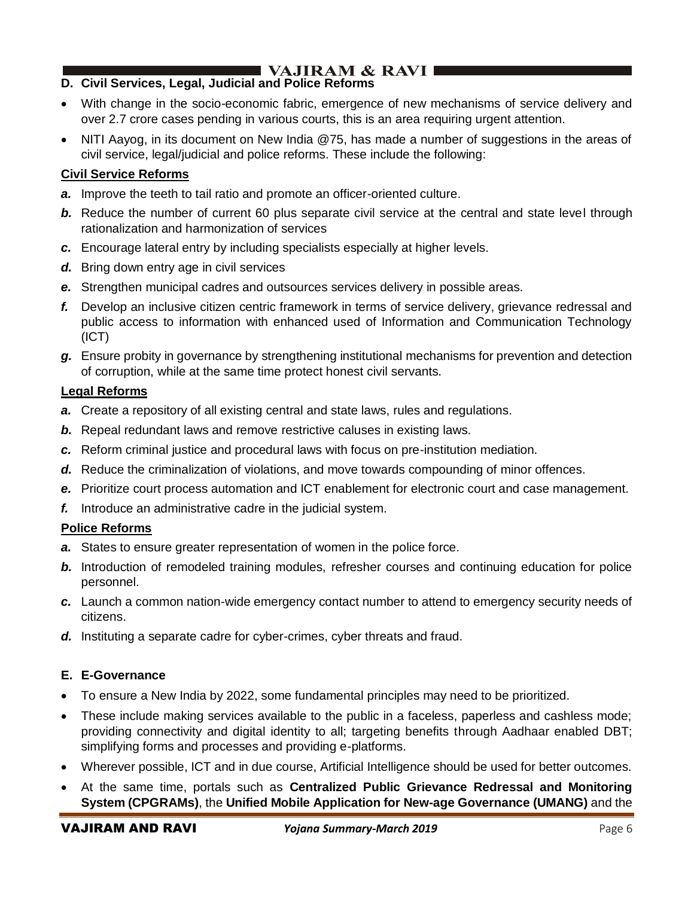# **D. Civil Services, Legal, Judicial and Police Reforms**

- With change in the socio-economic fabric, emergence of new mechanisms of service delivery and over 2.7 crore cases pending in various courts, this is an area requiring urgent attention.
- NITI Aayog, in its document on New India @75, has made a number of suggestions in the areas of civil service, legal/judicial and police reforms. These include the following:

# **Civil Service Reforms**

- *a.* Improve the teeth to tail ratio and promote an officer-oriented culture.
- **b.** Reduce the number of current 60 plus separate civil service at the central and state level through rationalization and harmonization of services
- *c.* Encourage lateral entry by including specialists especially at higher levels.
- *d.* Bring down entry age in civil services
- *e.* Strengthen municipal cadres and outsources services delivery in possible areas.
- *f.* Develop an inclusive citizen centric framework in terms of service delivery, grievance redressal and public access to information with enhanced used of Information and Communication Technology (ICT)
- *g.* Ensure probity in governance by strengthening institutional mechanisms for prevention and detection of corruption, while at the same time protect honest civil servants.

### **Legal Reforms**

- *a.* Create a repository of all existing central and state laws, rules and regulations.
- *b.* Repeal redundant laws and remove restrictive caluses in existing laws.
- *c.* Reform criminal justice and procedural laws with focus on pre-institution mediation.
- *d.* Reduce the criminalization of violations, and move towards compounding of minor offences.
- *e.* Prioritize court process automation and ICT enablement for electronic court and case management.
- *f.* Introduce an administrative cadre in the judicial system.

# **Police Reforms**

- *a.* States to ensure greater representation of women in the police force.
- **b.** Introduction of remodeled training modules, refresher courses and continuing education for police personnel.
- *c.* Launch a common nation-wide emergency contact number to attend to emergency security needs of citizens.
- *d.* Instituting a separate cadre for cyber-crimes, cyber threats and fraud.

# **E. E-Governance**

- To ensure a New India by 2022, some fundamental principles may need to be prioritized.
- These include making services available to the public in a faceless, paperless and cashless mode; providing connectivity and digital identity to all; targeting benefits through Aadhaar enabled DBT; simplifying forms and processes and providing e-platforms.
- Wherever possible, ICT and in due course, Artificial Intelligence should be used for better outcomes.
- At the same time, portals such as **Centralized Public Grievance Redressal and Monitoring System (CPGRAMs)**, the **Unified Mobile Application for New-age Governance (UMANG)** and the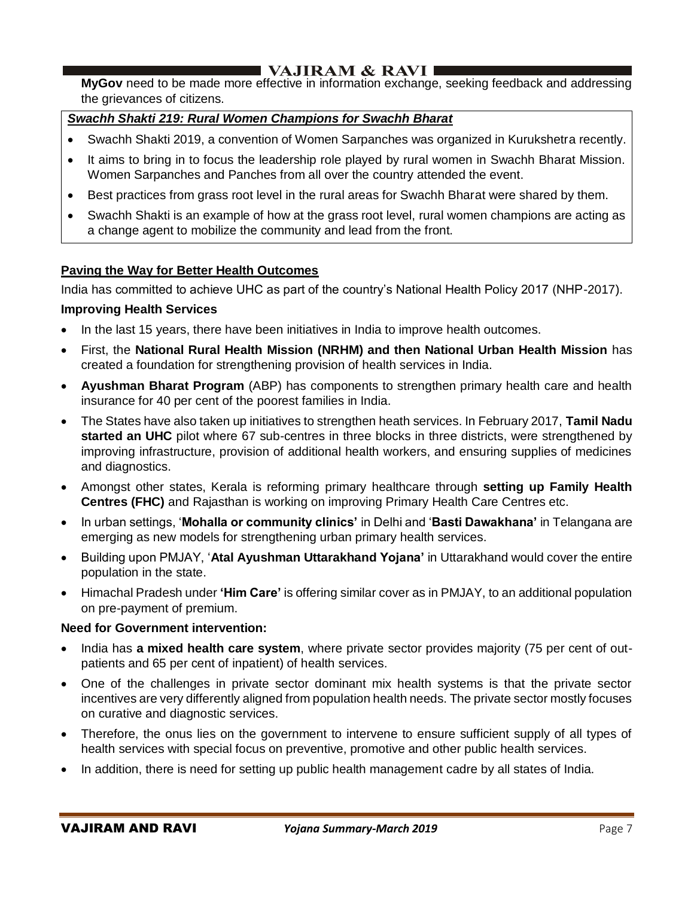**MyGov** need to be made more effective in information exchange, seeking feedback and addressing the grievances of citizens.

# *Swachh Shakti 219: Rural Women Champions for Swachh Bharat*

- Swachh Shakti 2019, a convention of Women Sarpanches was organized in Kurukshetra recently.
- It aims to bring in to focus the leadership role played by rural women in Swachh Bharat Mission. Women Sarpanches and Panches from all over the country attended the event.
- Best practices from grass root level in the rural areas for Swachh Bharat were shared by them.
- Swachh Shakti is an example of how at the grass root level, rural women champions are acting as a change agent to mobilize the community and lead from the front.

### **Paving the Way for Better Health Outcomes**

India has committed to achieve UHC as part of the country's National Health Policy 2017 (NHP-2017).

#### **Improving Health Services**

- In the last 15 years, there have been initiatives in India to improve health outcomes.
- First, the **National Rural Health Mission (NRHM) and then National Urban Health Mission** has created a foundation for strengthening provision of health services in India.
- **Ayushman Bharat Program** (ABP) has components to strengthen primary health care and health insurance for 40 per cent of the poorest families in India.
- The States have also taken up initiatives to strengthen heath services. In February 2017, **Tamil Nadu started an UHC** pilot where 67 sub-centres in three blocks in three districts, were strengthened by improving infrastructure, provision of additional health workers, and ensuring supplies of medicines and diagnostics.
- Amongst other states, Kerala is reforming primary healthcare through **setting up Family Health Centres (FHC)** and Rajasthan is working on improving Primary Health Care Centres etc.
- In urban settings, '**Mohalla or community clinics'** in Delhi and '**Basti Dawakhana'** in Telangana are emerging as new models for strengthening urban primary health services.
- Building upon PMJAY, '**Atal Ayushman Uttarakhand Yojana'** in Uttarakhand would cover the entire population in the state.
- Himachal Pradesh under **'Him Care'** is offering similar cover as in PMJAY, to an additional population on pre-payment of premium.

#### **Need for Government intervention:**

- India has **a mixed health care system**, where private sector provides majority (75 per cent of outpatients and 65 per cent of inpatient) of health services.
- One of the challenges in private sector dominant mix health systems is that the private sector incentives are very differently aligned from population health needs. The private sector mostly focuses on curative and diagnostic services.
- Therefore, the onus lies on the government to intervene to ensure sufficient supply of all types of health services with special focus on preventive, promotive and other public health services.
- In addition, there is need for setting up public health management cadre by all states of India.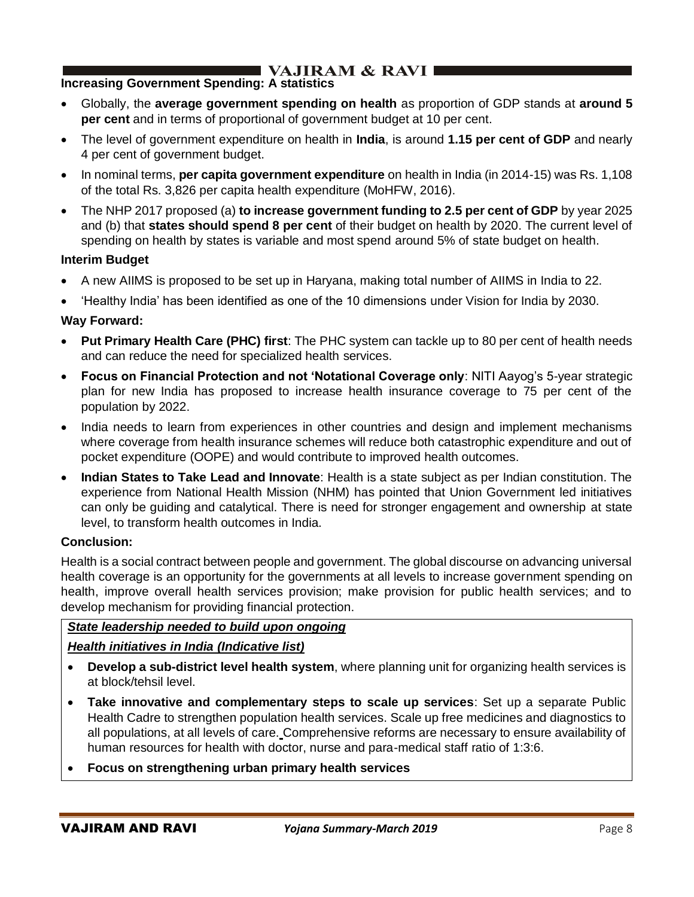# **Increasing Government Spending: A statistics**

- Globally, the **average government spending on health** as proportion of GDP stands at **around 5 per cent** and in terms of proportional of government budget at 10 per cent.
- The level of government expenditure on health in **India**, is around **1.15 per cent of GDP** and nearly 4 per cent of government budget.
- In nominal terms, **per capita government expenditure** on health in India (in 2014-15) was Rs. 1,108 of the total Rs. 3,826 per capita health expenditure (MoHFW, 2016).
- The NHP 2017 proposed (a) **to increase government funding to 2.5 per cent of GDP** by year 2025 and (b) that **states should spend 8 per cent** of their budget on health by 2020. The current level of spending on health by states is variable and most spend around 5% of state budget on health.

### **Interim Budget**

- A new AIIMS is proposed to be set up in Haryana, making total number of AIIMS in India to 22.
- 'Healthy India' has been identified as one of the 10 dimensions under Vision for India by 2030.

# **Way Forward:**

- **Put Primary Health Care (PHC) first**: The PHC system can tackle up to 80 per cent of health needs and can reduce the need for specialized health services.
- **Focus on Financial Protection and not 'Notational Coverage only**: NITI Aayog's 5-year strategic plan for new India has proposed to increase health insurance coverage to 75 per cent of the population by 2022.
- India needs to learn from experiences in other countries and design and implement mechanisms where coverage from health insurance schemes will reduce both catastrophic expenditure and out of pocket expenditure (OOPE) and would contribute to improved health outcomes.
- **Indian States to Take Lead and Innovate**: Health is a state subject as per Indian constitution. The experience from National Health Mission (NHM) has pointed that Union Government led initiatives can only be guiding and catalytical. There is need for stronger engagement and ownership at state level, to transform health outcomes in India.

### **Conclusion:**

Health is a social contract between people and government. The global discourse on advancing universal health coverage is an opportunity for the governments at all levels to increase government spending on health, improve overall health services provision; make provision for public health services; and to develop mechanism for providing financial protection.

# *State leadership needed to build upon ongoing*

### *Health initiatives in India (Indicative list)*

- **Develop a sub-district level health system**, where planning unit for organizing health services is at block/tehsil level.
- **Take innovative and complementary steps to scale up services**: Set up a separate Public Health Cadre to strengthen population health services. Scale up free medicines and diagnostics to all populations, at all levels of care. Comprehensive reforms are necessary to ensure availability of human resources for health with doctor, nurse and para-medical staff ratio of 1:3:6.

### • **Focus on strengthening urban primary health services**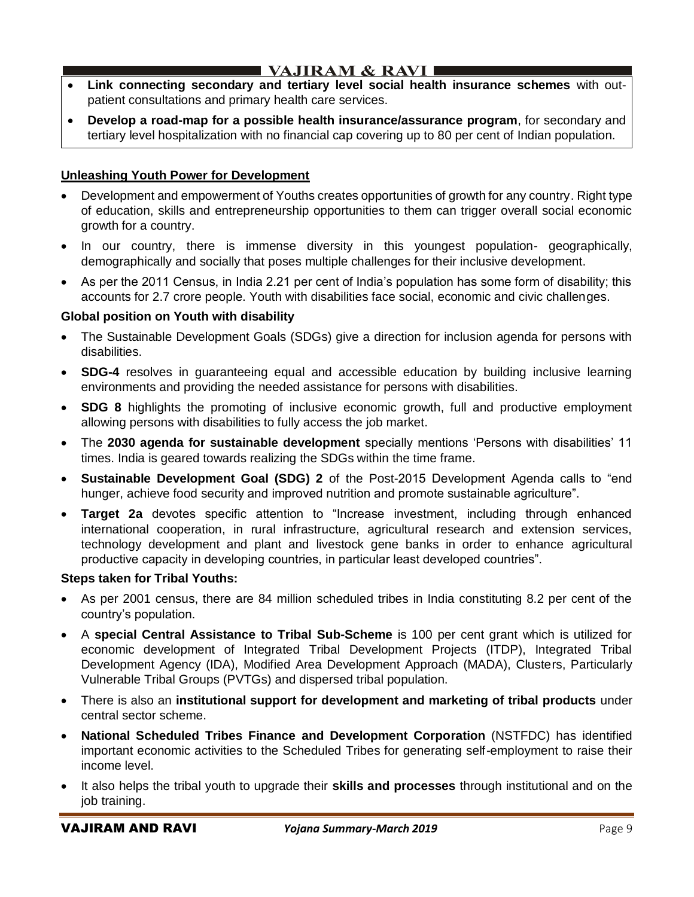- I VAJIRAM  $\&$  RAVI $\blacksquare$
- **Link connecting secondary and tertiary level social health insurance schemes** with outpatient consultations and primary health care services.
- **Develop a road-map for a possible health insurance/assurance program**, for secondary and tertiary level hospitalization with no financial cap covering up to 80 per cent of Indian population.

# **Unleashing Youth Power for Development**

- Development and empowerment of Youths creates opportunities of growth for any country. Right type of education, skills and entrepreneurship opportunities to them can trigger overall social economic growth for a country.
- In our country, there is immense diversity in this youngest population- geographically, demographically and socially that poses multiple challenges for their inclusive development.
- As per the 2011 Census, in India 2.21 per cent of India's population has some form of disability; this accounts for 2.7 crore people. Youth with disabilities face social, economic and civic challenges.

### **Global position on Youth with disability**

- The Sustainable Development Goals (SDGs) give a direction for inclusion agenda for persons with disabilities.
- **SDG-4** resolves in guaranteeing equal and accessible education by building inclusive learning environments and providing the needed assistance for persons with disabilities.
- **SDG 8** highlights the promoting of inclusive economic growth, full and productive employment allowing persons with disabilities to fully access the job market.
- The **2030 agenda for sustainable development** specially mentions 'Persons with disabilities' 11 times. India is geared towards realizing the SDGs within the time frame.
- **Sustainable Development Goal (SDG) 2** of the Post-2015 Development Agenda calls to "end hunger, achieve food security and improved nutrition and promote sustainable agriculture".
- **Target 2a** devotes specific attention to "Increase investment, including through enhanced international cooperation, in rural infrastructure, agricultural research and extension services, technology development and plant and livestock gene banks in order to enhance agricultural productive capacity in developing countries, in particular least developed countries".

#### **Steps taken for Tribal Youths:**

- As per 2001 census, there are 84 million scheduled tribes in India constituting 8.2 per cent of the country's population.
- A **special Central Assistance to Tribal Sub-Scheme** is 100 per cent grant which is utilized for economic development of Integrated Tribal Development Projects (ITDP), Integrated Tribal Development Agency (IDA), Modified Area Development Approach (MADA), Clusters, Particularly Vulnerable Tribal Groups (PVTGs) and dispersed tribal population.
- There is also an **institutional support for development and marketing of tribal products** under central sector scheme.
- **National Scheduled Tribes Finance and Development Corporation** (NSTFDC) has identified important economic activities to the Scheduled Tribes for generating self-employment to raise their income level.
- It also helps the tribal youth to upgrade their **skills and processes** through institutional and on the job training.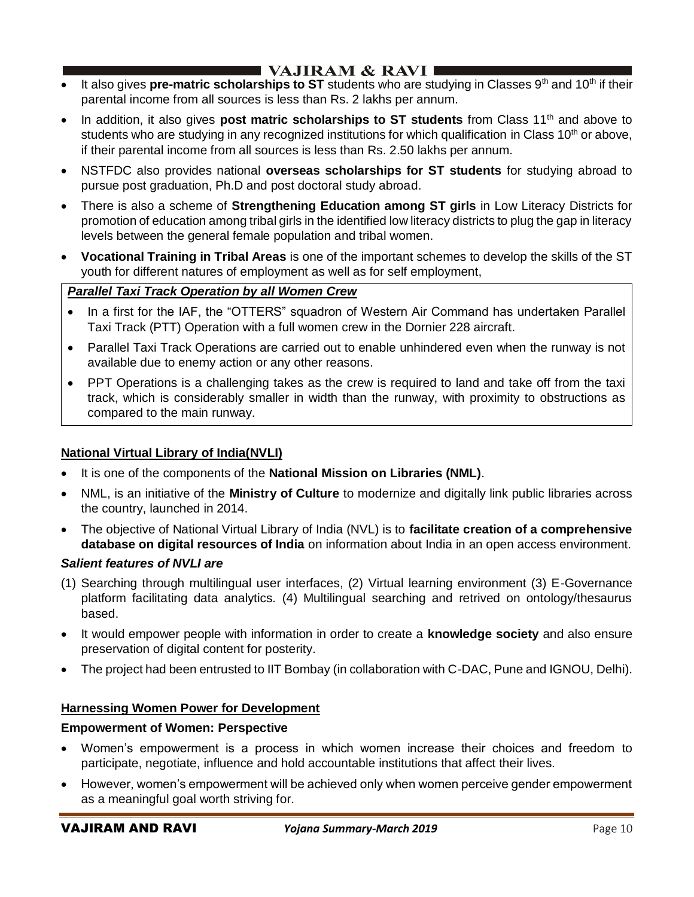- It also gives **pre-matric scholarships to ST** students who are studying in Classes 9<sup>th</sup> and 10<sup>th</sup> if their parental income from all sources is less than Rs. 2 lakhs per annum.
- In addition, it also gives **post matric scholarships to ST students** from Class 11<sup>th</sup> and above to students who are studying in any recognized institutions for which qualification in Class  $10<sup>th</sup>$  or above, if their parental income from all sources is less than Rs. 2.50 lakhs per annum.
- NSTFDC also provides national **overseas scholarships for ST students** for studying abroad to pursue post graduation, Ph.D and post doctoral study abroad.
- There is also a scheme of **Strengthening Education among ST girls** in Low Literacy Districts for promotion of education among tribal girls in the identified low literacy districts to plug the gap in literacy levels between the general female population and tribal women.
- **Vocational Training in Tribal Areas** is one of the important schemes to develop the skills of the ST youth for different natures of employment as well as for self employment,

# *Parallel Taxi Track Operation by all Women Crew*

- In a first for the IAF, the "OTTERS" squadron of Western Air Command has undertaken Parallel Taxi Track (PTT) Operation with a full women crew in the Dornier 228 aircraft.
- Parallel Taxi Track Operations are carried out to enable unhindered even when the runway is not available due to enemy action or any other reasons.
- PPT Operations is a challenging takes as the crew is required to land and take off from the taxi track, which is considerably smaller in width than the runway, with proximity to obstructions as compared to the main runway.

# **National Virtual Library of India(NVLI)**

- It is one of the components of the **National Mission on Libraries (NML)**.
- NML, is an initiative of the **Ministry of Culture** to modernize and digitally link public libraries across the country, launched in 2014.
- The objective of National Virtual Library of India (NVL) is to **facilitate creation of a comprehensive database on digital resources of India** on information about India in an open access environment.

### *Salient features of NVLI are*

- (1) Searching through multilingual user interfaces, (2) Virtual learning environment (3) E-Governance platform facilitating data analytics. (4) Multilingual searching and retrived on ontology/thesaurus based.
- It would empower people with information in order to create a **knowledge society** and also ensure preservation of digital content for posterity.
- The project had been entrusted to IIT Bombay (in collaboration with C-DAC, Pune and IGNOU, Delhi).

### **Harnessing Women Power for Development**

### **Empowerment of Women: Perspective**

- Women's empowerment is a process in which women increase their choices and freedom to participate, negotiate, influence and hold accountable institutions that affect their lives.
- However, women's empowerment will be achieved only when women perceive gender empowerment as a meaningful goal worth striving for.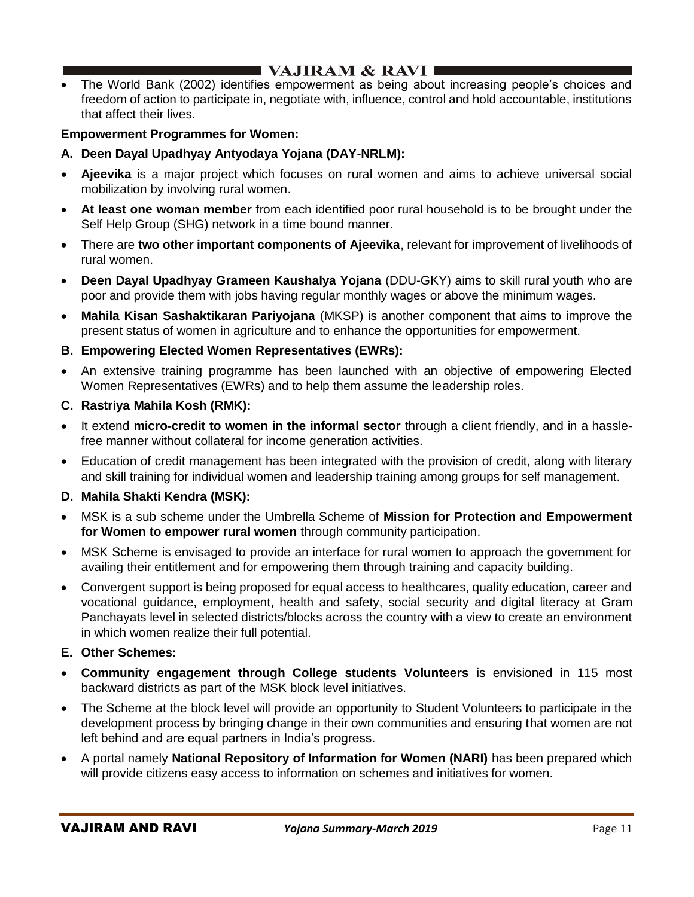# $\blacksquare$  VAJIRAM & RAVI $\blacksquare$

• The World Bank (2002) identifies empowerment as being about increasing people's choices and freedom of action to participate in, negotiate with, influence, control and hold accountable, institutions that affect their lives.

### **Empowerment Programmes for Women:**

- **A. Deen Dayal Upadhyay Antyodaya Yojana (DAY-NRLM):**
- **Ajeevika** is a major project which focuses on rural women and aims to achieve universal social mobilization by involving rural women.
- **At least one woman member** from each identified poor rural household is to be brought under the Self Help Group (SHG) network in a time bound manner.
- There are **two other important components of Ajeevika**, relevant for improvement of livelihoods of rural women.
- **Deen Dayal Upadhyay Grameen Kaushalya Yojana** (DDU-GKY) aims to skill rural youth who are poor and provide them with jobs having regular monthly wages or above the minimum wages.
- **Mahila Kisan Sashaktikaran Pariyojana** (MKSP) is another component that aims to improve the present status of women in agriculture and to enhance the opportunities for empowerment.

### **B. Empowering Elected Women Representatives (EWRs):**

• An extensive training programme has been launched with an objective of empowering Elected Women Representatives (EWRs) and to help them assume the leadership roles.

### **C. Rastriya Mahila Kosh (RMK):**

- It extend **micro-credit to women in the informal sector** through a client friendly, and in a hasslefree manner without collateral for income generation activities.
- Education of credit management has been integrated with the provision of credit, along with literary and skill training for individual women and leadership training among groups for self management.

# **D. Mahila Shakti Kendra (MSK):**

- MSK is a sub scheme under the Umbrella Scheme of **Mission for Protection and Empowerment for Women to empower rural women** through community participation.
- MSK Scheme is envisaged to provide an interface for rural women to approach the government for availing their entitlement and for empowering them through training and capacity building.
- Convergent support is being proposed for equal access to healthcares, quality education, career and vocational guidance, employment, health and safety, social security and digital literacy at Gram Panchayats level in selected districts/blocks across the country with a view to create an environment in which women realize their full potential.

### **E. Other Schemes:**

- **Community engagement through College students Volunteers** is envisioned in 115 most backward districts as part of the MSK block level initiatives.
- The Scheme at the block level will provide an opportunity to Student Volunteers to participate in the development process by bringing change in their own communities and ensuring that women are not left behind and are equal partners in India's progress.
- A portal namely **National Repository of Information for Women (NARI)** has been prepared which will provide citizens easy access to information on schemes and initiatives for women.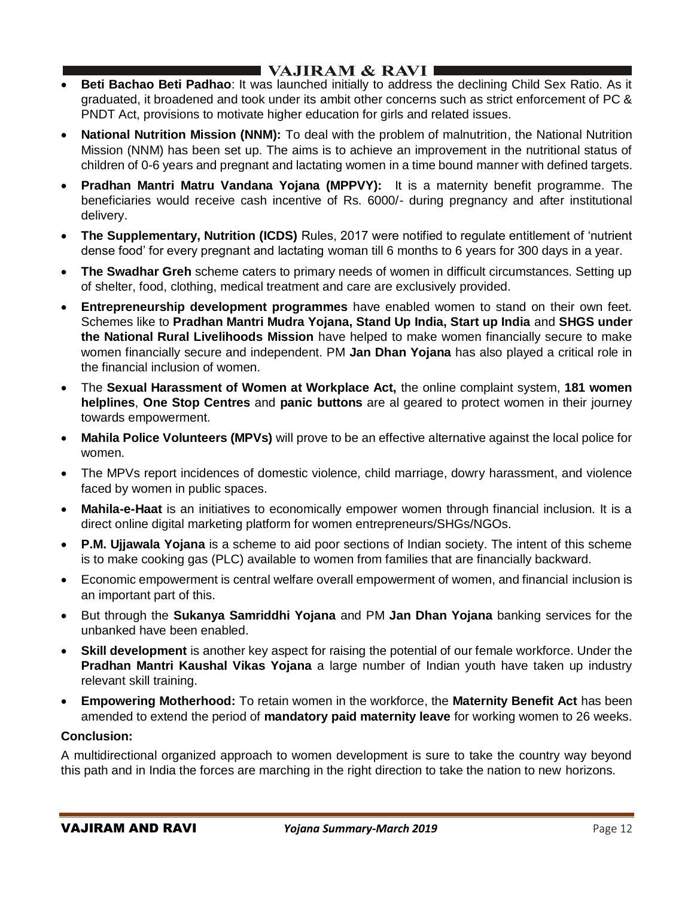# I VAJIRAM  $\&$  RAVI  $\blacksquare$

- **Beti Bachao Beti Padhao**: It was launched initially to address the declining Child Sex Ratio. As it graduated, it broadened and took under its ambit other concerns such as strict enforcement of PC & PNDT Act, provisions to motivate higher education for girls and related issues.
- **National Nutrition Mission (NNM):** To deal with the problem of malnutrition, the National Nutrition Mission (NNM) has been set up. The aims is to achieve an improvement in the nutritional status of children of 0-6 years and pregnant and lactating women in a time bound manner with defined targets.
- **Pradhan Mantri Matru Vandana Yojana (MPPVY):** It is a maternity benefit programme. The beneficiaries would receive cash incentive of Rs. 6000/- during pregnancy and after institutional delivery.
- **The Supplementary, Nutrition (ICDS)** Rules, 2017 were notified to regulate entitlement of 'nutrient dense food' for every pregnant and lactating woman till 6 months to 6 years for 300 days in a year.
- **The Swadhar Greh** scheme caters to primary needs of women in difficult circumstances. Setting up of shelter, food, clothing, medical treatment and care are exclusively provided.
- **Entrepreneurship development programmes** have enabled women to stand on their own feet. Schemes like to **Pradhan Mantri Mudra Yojana, Stand Up India, Start up India** and **SHGS under the National Rural Livelihoods Mission** have helped to make women financially secure to make women financially secure and independent. PM **Jan Dhan Yojana** has also played a critical role in the financial inclusion of women.
- The **Sexual Harassment of Women at Workplace Act,** the online complaint system, **181 women helplines**, **One Stop Centres** and **panic buttons** are al geared to protect women in their journey towards empowerment.
- **Mahila Police Volunteers (MPVs)** will prove to be an effective alternative against the local police for women.
- The MPVs report incidences of domestic violence, child marriage, dowry harassment, and violence faced by women in public spaces.
- **Mahila-e-Haat** is an initiatives to economically empower women through financial inclusion. It is a direct online digital marketing platform for women entrepreneurs/SHGs/NGOs.
- **P.M. Ujjawala Yojana** is a scheme to aid poor sections of Indian society. The intent of this scheme is to make cooking gas (PLC) available to women from families that are financially backward.
- Economic empowerment is central welfare overall empowerment of women, and financial inclusion is an important part of this.
- But through the **Sukanya Samriddhi Yojana** and PM **Jan Dhan Yojana** banking services for the unbanked have been enabled.
- **Skill development** is another key aspect for raising the potential of our female workforce. Under the **Pradhan Mantri Kaushal Vikas Yojana** a large number of Indian youth have taken up industry relevant skill training.
- **Empowering Motherhood:** To retain women in the workforce, the **Maternity Benefit Act** has been amended to extend the period of **mandatory paid maternity leave** for working women to 26 weeks.

### **Conclusion:**

A multidirectional organized approach to women development is sure to take the country way beyond this path and in India the forces are marching in the right direction to take the nation to new horizons.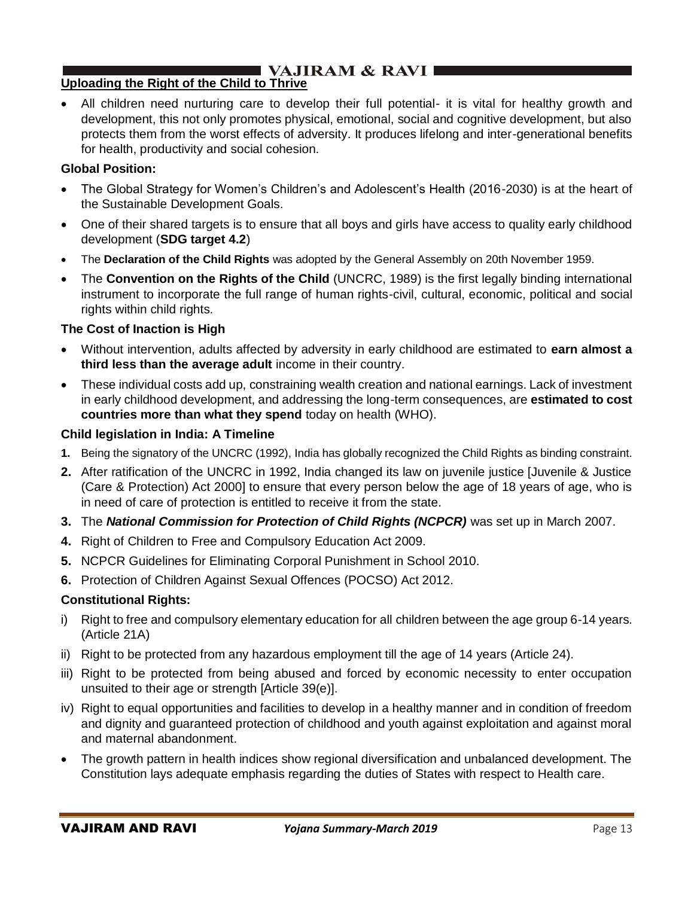# $\blacksquare$  VAJIRAM & RAVI $\blacksquare$

# **Uploading the Right of the Child to Thrive**

• All children need nurturing care to develop their full potential- it is vital for healthy growth and development, this not only promotes physical, emotional, social and cognitive development, but also protects them from the worst effects of adversity. It produces lifelong and inter-generational benefits for health, productivity and social cohesion.

### **Global Position:**

- The Global Strategy for Women's Children's and Adolescent's Health (2016-2030) is at the heart of the Sustainable Development Goals.
- One of their shared targets is to ensure that all boys and girls have access to quality early childhood development (**SDG target 4.2**)
- The **Declaration of the Child Rights** was adopted by the General Assembly on 20th November 1959.
- The **Convention on the Rights of the Child** (UNCRC, 1989) is the first legally binding international instrument to incorporate the full range of human rights-civil, cultural, economic, political and social rights within child rights.

# **The Cost of Inaction is High**

- Without intervention, adults affected by adversity in early childhood are estimated to **earn almost a third less than the average adult** income in their country.
- These individual costs add up, constraining wealth creation and national earnings. Lack of investment in early childhood development, and addressing the long-term consequences, are **estimated to cost countries more than what they spend** today on health (WHO).

# **Child legislation in India: A Timeline**

- **1.** Being the signatory of the UNCRC (1992), India has globally recognized the Child Rights as binding constraint.
- **2.** After ratification of the UNCRC in 1992, India changed its law on juvenile justice [Juvenile & Justice (Care & Protection) Act 2000] to ensure that every person below the age of 18 years of age, who is in need of care of protection is entitled to receive it from the state.
- **3.** The *National Commission for Protection of Child Rights (NCPCR)* was set up in March 2007.
- **4.** Right of Children to Free and Compulsory Education Act 2009.
- **5.** NCPCR Guidelines for Eliminating Corporal Punishment in School 2010.
- **6.** Protection of Children Against Sexual Offences (POCSO) Act 2012.

### **Constitutional Rights:**

- i) Right to free and compulsory elementary education for all children between the age group 6-14 years. (Article 21A)
- ii) Right to be protected from any hazardous employment till the age of 14 years (Article 24).
- iii) Right to be protected from being abused and forced by economic necessity to enter occupation unsuited to their age or strength [Article 39(e)].
- iv) Right to equal opportunities and facilities to develop in a healthy manner and in condition of freedom and dignity and guaranteed protection of childhood and youth against exploitation and against moral and maternal abandonment.
- The growth pattern in health indices show regional diversification and unbalanced development. The Constitution lays adequate emphasis regarding the duties of States with respect to Health care.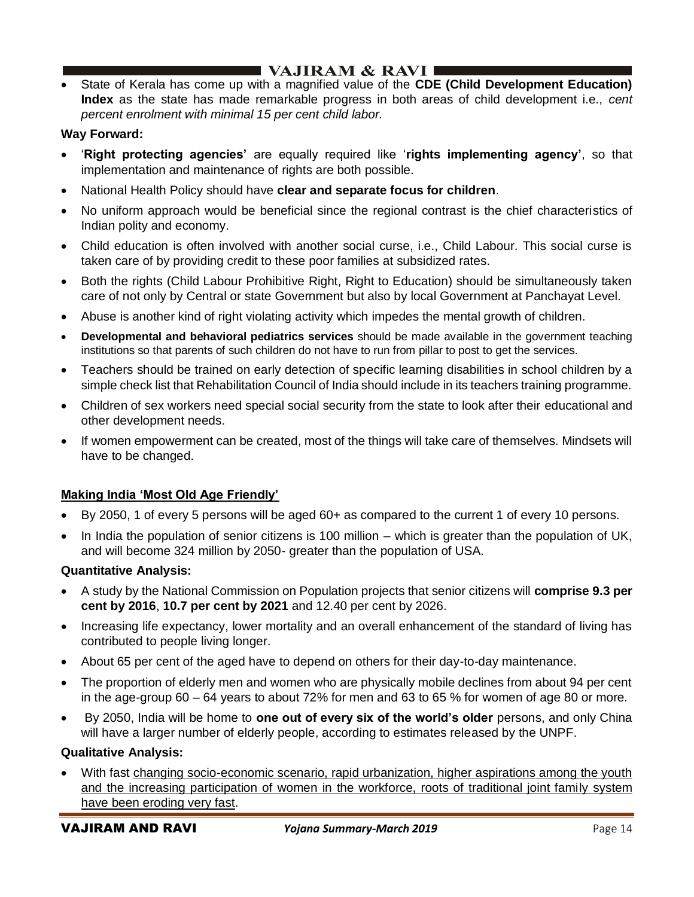# $\blacksquare$  VAJIRAM & RAVI  $\blacksquare$

• State of Kerala has come up with a magnified value of the **CDE (Child Development Education) Index** as the state has made remarkable progress in both areas of child development i.e., *cent percent enrolment with minimal 15 per cent child labor.*

# **Way Forward:**

- '**Right protecting agencies'** are equally required like '**rights implementing agency'**, so that implementation and maintenance of rights are both possible.
- National Health Policy should have **clear and separate focus for children**.
- No uniform approach would be beneficial since the regional contrast is the chief characteristics of Indian polity and economy.
- Child education is often involved with another social curse, i.e., Child Labour. This social curse is taken care of by providing credit to these poor families at subsidized rates.
- Both the rights (Child Labour Prohibitive Right, Right to Education) should be simultaneously taken care of not only by Central or state Government but also by local Government at Panchayat Level.
- Abuse is another kind of right violating activity which impedes the mental growth of children.
- **Developmental and behavioral pediatrics services** should be made available in the government teaching institutions so that parents of such children do not have to run from pillar to post to get the services.
- Teachers should be trained on early detection of specific learning disabilities in school children by a simple check list that Rehabilitation Council of India should include in its teachers training programme.
- Children of sex workers need special social security from the state to look after their educational and other development needs.
- If women empowerment can be created, most of the things will take care of themselves. Mindsets will have to be changed.

### **Making India 'Most Old Age Friendly'**

- By 2050, 1 of every 5 persons will be aged 60+ as compared to the current 1 of every 10 persons.
- In India the population of senior citizens is 100 million which is greater than the population of UK, and will become 324 million by 2050- greater than the population of USA.

### **Quantitative Analysis:**

- A study by the National Commission on Population projects that senior citizens will **comprise 9.3 per cent by 2016**, **10.7 per cent by 2021** and 12.40 per cent by 2026.
- Increasing life expectancy, lower mortality and an overall enhancement of the standard of living has contributed to people living longer.
- About 65 per cent of the aged have to depend on others for their day-to-day maintenance.
- The proportion of elderly men and women who are physically mobile declines from about 94 per cent in the age-group 60 – 64 years to about 72% for men and 63 to 65 % for women of age 80 or more.
- By 2050, India will be home to **one out of every six of the world's older** persons, and only China will have a larger number of elderly people, according to estimates released by the UNPF.

### **Qualitative Analysis:**

With fast changing socio-economic scenario, rapid urbanization, higher aspirations among the youth and the increasing participation of women in the workforce, roots of traditional joint family system have been eroding very fast.